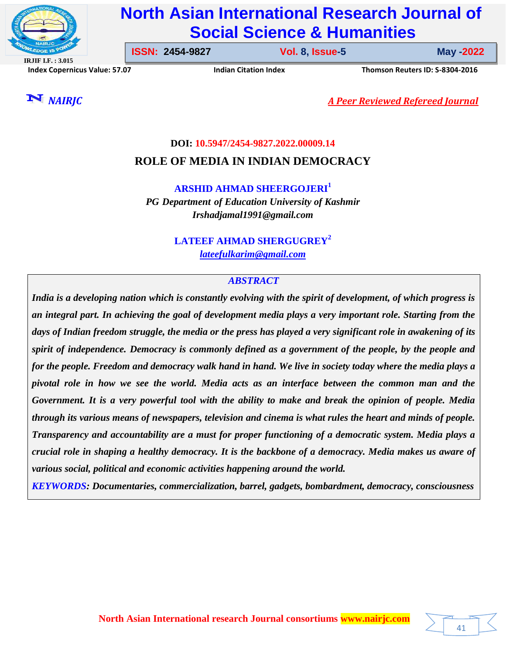

# **North Asian International Research Journal of Social Science & Humanities**

**IRJIF I.F. : 3.015 Index Copernicus Value: 57.07****Indian Citation Index****Thomson Reuters ID: S-8304-2016** 

**ISSN: 2454-9827 Vol. 8, Issue-5** 

**Issue-5 May -2022**

41

*NAIRJC A Peer Reviewed Refereed Journal*

**DOI: 10.5947/2454-9827.2022.00009.14**

**ROLE OF MEDIA IN INDIAN DEMOCRACY**

**ARSHID AHMAD SHEERGOJERI<sup>1</sup>**

*PG Department of Education University of Kashmir Irshadjamal1991@gmail.com*

> **LATEEF AHMAD SHERGUGREY<sup>2</sup>** *lateefulkarim@gmail.com*

# *ABSTRACT*

*India is a developing nation which is constantly evolving with the spirit of development, of which progress is an integral part. In achieving the goal of development media plays a very important role. Starting from the days of Indian freedom struggle, the media or the press has played a very significant role in awakening of its spirit of independence. Democracy is commonly defined as a government of the people, by the people and for the people. Freedom and democracy walk hand in hand. We live in society today where the media plays a pivotal role in how we see the world. Media acts as an interface between the common man and the Government. It is a very powerful tool with the ability to make and break the opinion of people. Media through its various means of newspapers, television and cinema is what rules the heart and minds of people. Transparency and accountability are a must for proper functioning of a democratic system. Media plays a crucial role in shaping a healthy democracy. It is the backbone of a democracy. Media makes us aware of various social, political and economic activities happening around the world.*

*KEYWORDS: Documentaries, commercialization, barrel, gadgets, bombardment, democracy, consciousness*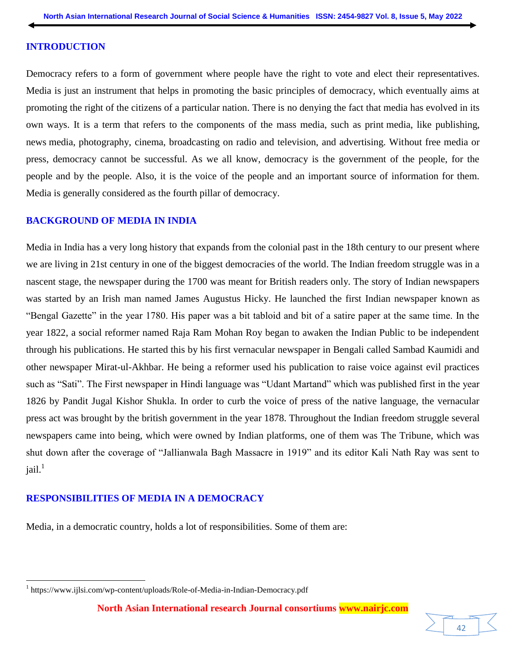#### **INTRODUCTION**

Democracy refers to a form of government where people have the right to vote and elect their representatives. Media is just an instrument that helps in promoting the basic principles of democracy, which eventually aims at promoting the right of the citizens of a particular nation. There is no denying the fact that media has evolved in its own ways. It is a term that refers to the components of the mass media, such as print media, like publishing, news media, photography, cinema, broadcasting on radio and television, and advertising. Without free media or press, democracy cannot be successful. As we all know, democracy is the government of the people, for the people and by the people. Also, it is the voice of the people and an important source of information for them. Media is generally considered as the fourth pillar of democracy.

#### **BACKGROUND OF MEDIA IN INDIA**

Media in India has a very long history that expands from the colonial past in the 18th century to our present where we are living in 21st century in one of the biggest democracies of the world. The Indian freedom struggle was in a nascent stage, the newspaper during the 1700 was meant for British readers only. The story of Indian newspapers was started by an Irish man named James Augustus Hicky. He launched the first Indian newspaper known as "Bengal Gazette" in the year 1780. His paper was a bit tabloid and bit of a satire paper at the same time. In the year 1822, a social reformer named Raja Ram Mohan Roy began to awaken the Indian Public to be independent through his publications. He started this by his first vernacular newspaper in Bengali called Sambad Kaumidi and other newspaper Mirat-ul-Akhbar. He being a reformer used his publication to raise voice against evil practices such as "Sati". The First newspaper in Hindi language was "Udant Martand" which was published first in the year 1826 by Pandit Jugal Kishor Shukla. In order to curb the voice of press of the native language, the vernacular press act was brought by the british government in the year 1878. Throughout the Indian freedom struggle several newspapers came into being, which were owned by Indian platforms, one of them was The Tribune, which was shut down after the coverage of "Jallianwala Bagh Massacre in 1919" and its editor Kali Nath Ray was sent to  $jail.<sup>1</sup>$ 

# **RESPONSIBILITIES OF MEDIA IN A DEMOCRACY**

 $\overline{\phantom{a}}$ 

Media, in a democratic country, holds a lot of responsibilities. Some of them are:

<sup>&</sup>lt;sup>1</sup> https://www.ijlsi.com/wp-content/uploads/Role-of-Media-in-Indian-Democracy.pdf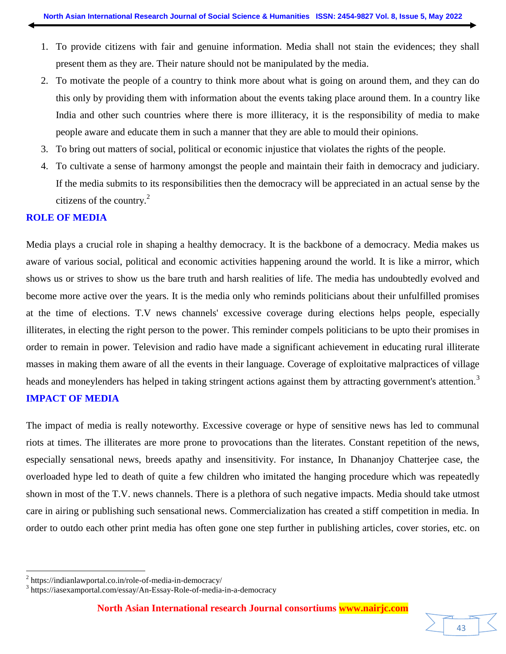- 1. To provide citizens with fair and genuine information. Media shall not stain the evidences; they shall present them as they are. Their nature should not be manipulated by the media.
- 2. To motivate the people of a country to think more about what is going on around them, and they can do this only by providing them with information about the events taking place around them. In a country like India and other such countries where there is more illiteracy, it is the responsibility of media to make people aware and educate them in such a manner that they are able to mould their opinions.
- 3. To bring out matters of social, political or economic injustice that violates the rights of the people.
- 4. To cultivate a sense of harmony amongst the people and maintain their faith in democracy and judiciary. If the media submits to its responsibilities then the democracy will be appreciated in an actual sense by the citizens of the country. $^{2}$

## **ROLE OF MEDIA**

Media plays a crucial role in shaping a healthy democracy. It is the backbone of a democracy. Media makes us aware of various social, political and economic activities happening around the world. It is like a mirror, which shows us or strives to show us the bare truth and harsh realities of life. The media has undoubtedly evolved and become more active over the years. It is the media only who reminds politicians about their unfulfilled promises at the time of elections. T.V news channels' excessive coverage during elections helps people, especially illiterates, in electing the right person to the power. This reminder compels politicians to be upto their promises in order to remain in power. Television and radio have made a significant achievement in educating rural illiterate masses in making them aware of all the events in their language. Coverage of exploitative malpractices of village heads and moneylenders has helped in taking stringent actions against them by attracting government's attention.<sup>3</sup> **IMPACT OF MEDIA** 

The impact of media is really noteworthy. Excessive coverage or hype of sensitive news has led to communal riots at times. The illiterates are more prone to provocations than the literates. Constant repetition of the news, especially sensational news, breeds apathy and insensitivity. For instance, In Dhananjoy Chatterjee case, the overloaded hype led to death of quite a few children who imitated the hanging procedure which was repeatedly shown in most of the T.V. news channels. There is a plethora of such negative impacts. Media should take utmost care in airing or publishing such sensational news. Commercialization has created a stiff competition in media. In order to outdo each other print media has often gone one step further in publishing articles, cover stories, etc. on

 $\overline{\phantom{a}}$ 



<sup>&</sup>lt;sup>2</sup> https://indianlawportal.co.in/role-of-media-in-democracy/

<sup>3</sup> https://iasexamportal.com/essay/An-Essay-Role-of-media-in-a-democracy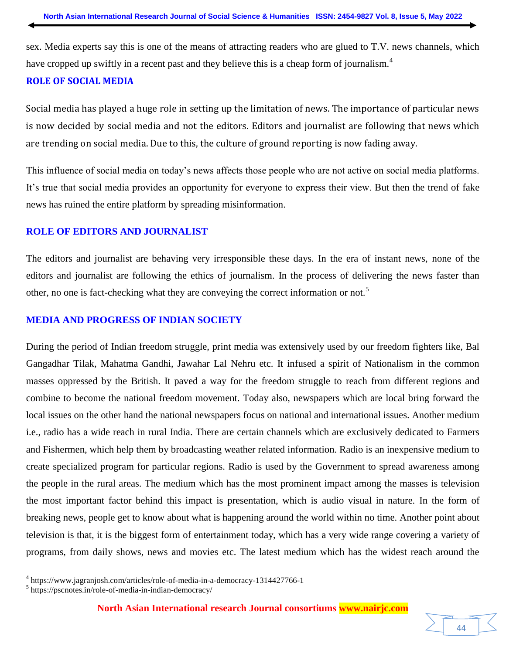sex. Media experts say this is one of the means of attracting readers who are glued to T.V. news channels, which have cropped up swiftly in a recent past and they believe this is a cheap form of journalism.<sup>4</sup>

## **ROLE OF SOCIAL MEDIA**

Social media has played a huge role in setting up the limitation of news. The importance of particular news is now decided by social media and not the editors. Editors and journalist are following that news which are trending on social media. Due to this, the culture of ground reporting is now fading away.

This influence of social media on today's news affects those people who are not active on social media platforms. It's true that social media provides an opportunity for everyone to express their view. But then the trend of fake news has ruined the entire platform by spreading misinformation.

## **ROLE OF EDITORS AND JOURNALIST**

The editors and journalist are behaving very irresponsible these days. In the era of instant news, none of the editors and journalist are following the ethics of journalism. In the process of delivering the news faster than other, no one is fact-checking what they are conveying the correct information or not.<sup>5</sup>

## **MEDIA AND PROGRESS OF INDIAN SOCIETY**

During the period of Indian freedom struggle, print media was extensively used by our freedom fighters like, Bal Gangadhar Tilak, Mahatma Gandhi, Jawahar Lal Nehru etc. It infused a spirit of Nationalism in the common masses oppressed by the British. It paved a way for the freedom struggle to reach from different regions and combine to become the national freedom movement. Today also, newspapers which are local bring forward the local issues on the other hand the national newspapers focus on national and international issues. Another medium i.e., radio has a wide reach in rural India. There are certain channels which are exclusively dedicated to Farmers and Fishermen, which help them by broadcasting weather related information. Radio is an inexpensive medium to create specialized program for particular regions. Radio is used by the Government to spread awareness among the people in the rural areas. The medium which has the most prominent impact among the masses is television the most important factor behind this impact is presentation, which is audio visual in nature. In the form of breaking news, people get to know about what is happening around the world within no time. Another point about television is that, it is the biggest form of entertainment today, which has a very wide range covering a variety of programs, from daily shows, news and movies etc. The latest medium which has the widest reach around the

44

 4 https://www.jagranjosh.com/articles/role-of-media-in-a-democracy-1314427766-1

<sup>&</sup>lt;sup>5</sup> https://pscnotes.in/role-of-media-in-indian-democracy/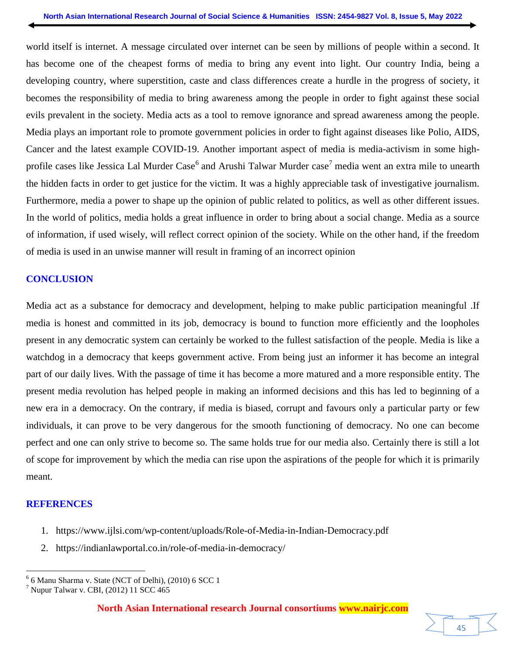world itself is internet. A message circulated over internet can be seen by millions of people within a second. It has become one of the cheapest forms of media to bring any event into light. Our country India, being a developing country, where superstition, caste and class differences create a hurdle in the progress of society, it becomes the responsibility of media to bring awareness among the people in order to fight against these social evils prevalent in the society. Media acts as a tool to remove ignorance and spread awareness among the people. Media plays an important role to promote government policies in order to fight against diseases like Polio, AIDS, Cancer and the latest example COVID-19. Another important aspect of media is media-activism in some highprofile cases like Jessica Lal Murder Case<sup>6</sup> and Arushi Talwar Murder case<sup>7</sup> media went an extra mile to unearth the hidden facts in order to get justice for the victim. It was a highly appreciable task of investigative journalism. Furthermore, media a power to shape up the opinion of public related to politics, as well as other different issues. In the world of politics, media holds a great influence in order to bring about a social change. Media as a source of information, if used wisely, will reflect correct opinion of the society. While on the other hand, if the freedom of media is used in an unwise manner will result in framing of an incorrect opinion

# **CONCLUSION**

Media act as a substance for democracy and development, helping to make public participation meaningful .If media is honest and committed in its job, democracy is bound to function more efficiently and the loopholes present in any democratic system can certainly be worked to the fullest satisfaction of the people. Media is like a watchdog in a democracy that keeps government active. From being just an informer it has become an integral part of our daily lives. With the passage of time it has become a more matured and a more responsible entity. The present media revolution has helped people in making an informed decisions and this has led to beginning of a new era in a democracy. On the contrary, if media is biased, corrupt and favours only a particular party or few individuals, it can prove to be very dangerous for the smooth functioning of democracy. No one can become perfect and one can only strive to become so. The same holds true for our media also. Certainly there is still a lot of scope for improvement by which the media can rise upon the aspirations of the people for which it is primarily meant.

# **REFERENCES**

- 1. https://www.ijlsi.com/wp-content/uploads/Role-of-Media-in-Indian-Democracy.pdf
- 2. https://indianlawportal.co.in/role-of-media-in-democracy/

 $\overline{\phantom{a}}$ 6 6 Manu Sharma v. State (NCT of Delhi), (2010) 6 SCC 1

 $<sup>7</sup>$  Nupur Talwar v. CBI, (2012) 11 SCC 465</sup>